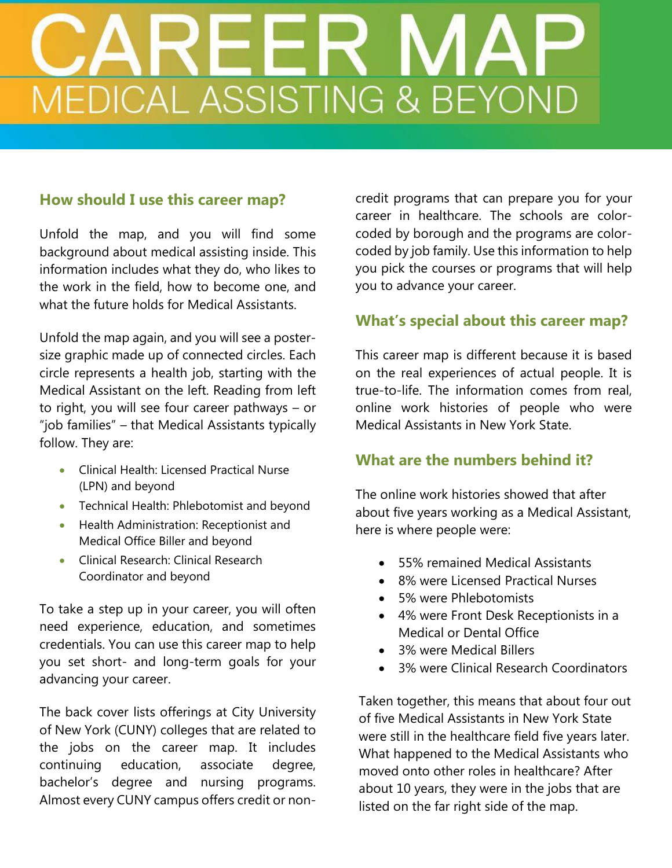# **MEDICAL ASSISTING & BEYOND**

# **How should I use this career map?**

Unfold the map, and you will find some background about medical assisting inside. This information includes what they do, who likes to the work in the field, how to become one, and what the future holds for Medical Assistants.

Unfold the map again, and you will see a postersize graphic made up of connected circles. Each circle represents a health job, starting with the Medical Assistant on the left. Reading from left to right, you will see four career pathways – or "job families" – that Medical Assistants typically follow. They are:

- **Clinical Health: Licensed Practical Nurse** (LPN) and beyond
- Technical Health: Phlebotomist and beyond
- Health Administration: Receptionist and Medical Office Biller and beyond
- **•** Clinical Research: Clinical Research Coordinator and beyond

To take a step up in your career, you will often need experience, education, and sometimes credentials. You can use this career map to help you set short- and long-term goals for your advancing your career.

The back cover lists offerings at City University of New York (CUNY) colleges that are related to the jobs on the career map. It includes continuing education, associate degree, bachelor's degree and nursing programs. Almost every CUNY campus offers credit or non-

credit programs that can prepare you for your career in healthcare. The schools are colorcoded by borough and the programs are colorcoded by job family. Use this information to help you pick the courses or programs that will help you to advance your career.

### **What's special about this career map?**

This career map is different because it is based on the real experiences of actual people. It is true-to-life. The information comes from real, online work histories of people who were Medical Assistants in New York State.

### **What are the numbers behind it?**

The online work histories showed that after about five years working as a Medical Assistant, here is where people were:

- 55% remained Medical Assistants
- 8% were Licensed Practical Nurses
- 5% were Phlebotomists
- 4% were Front Desk Receptionists in a Medical or Dental Office
- 3% were Medical Billers
- 3% were Clinical Research Coordinators

Taken together, this means that about four out of five Medical Assistants in New York State were still in the healthcare field five years later. What happened to the Medical Assistants who moved onto other roles in healthcare? After about 10 years, they were in the jobs that are listed on the far right side of the map.